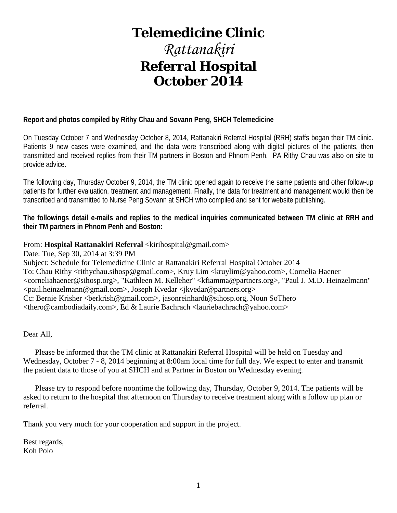# **Telemedicine Clinic**

# *Rattanakiri* **Referral Hospital October 2014**

### **Report and photos compiled by Rithy Chau and Sovann Peng, SHCH Telemedicine**

On Tuesday October 7 and Wednesday October 8, 2014, Rattanakiri Referral Hospital (RRH) staffs began their TM clinic. Patients 9 new cases were examined, and the data were transcribed along with digital pictures of the patients, then transmitted and received replies from their TM partners in Boston and Phnom Penh. PA Rithy Chau was also on site to provide advice.

The following day, Thursday October 9, 2014, the TM clinic opened again to receive the same patients and other follow-up patients for further evaluation, treatment and management. Finally, the data for treatment and management would then be transcribed and transmitted to Nurse Peng Sovann at SHCH who compiled and sent for website publishing.

**The followings detail e-mails and replies to the medical inquiries communicated between TM clinic at RRH and their TM partners in Phnom Penh and Boston:**

### From: Hospital Rattanakiri Referral <kirihospital@gmail.com>

Date: Tue, Sep 30, 2014 at 3:39 PM Subject: Schedule for Telemedicine Clinic at Rattanakiri Referral Hospital October 2014 To: Chau Rithy <rithychau.sihosp@gmail.com>, Kruy Lim <kruylim@yahoo.com>, Cornelia Haener <corneliahaener@sihosp.org>, "Kathleen M. Kelleher" <kfiamma@partners.org>, "Paul J. M.D. Heinzelmann" <paul.heinzelmann@gmail.com>, Joseph Kvedar <jkvedar@partners.org> Cc: Bernie Krisher <br/>cherkrish@gmail.com>, jasonreinhardt@sihosp.org, Noun So<br/>Thero <thero@cambodiadaily.com>, Ed & Laurie Bachrach <lauriebachrach@yahoo.com>

Dear All,

 Please be informed that the TM clinic at Rattanakiri Referral Hospital will be held on Tuesday and Wednesday, October 7 - 8, 2014 beginning at 8:00am local time for full day. We expect to enter and transmit the patient data to those of you at SHCH and at Partner in Boston on Wednesday evening.

 Please try to respond before noontime the following day, Thursday, October 9, 2014. The patients will be asked to return to the hospital that afternoon on Thursday to receive treatment along with a follow up plan or referral.

Thank you very much for your cooperation and support in the project.

Best regards, Koh Polo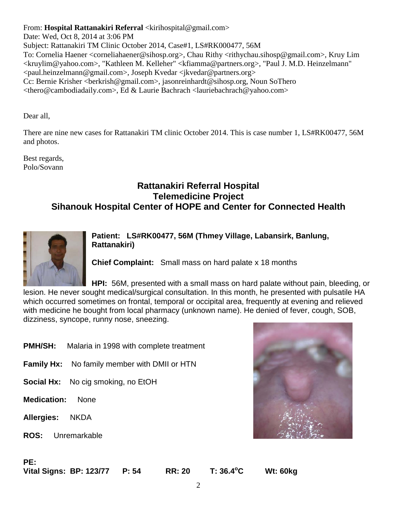### From: **Hospital Rattanakiri Referral** <kirihospital@gmail.com>

Date: Wed, Oct 8, 2014 at 3:06 PM Subject: Rattanakiri TM Clinic October 2014, Case#1, LS#RK000477, 56M To: Cornelia Haener <corneliahaener@sihosp.org>, Chau Rithy <rithychau.sihosp@gmail.com>, Kruy Lim <kruylim@yahoo.com>, "Kathleen M. Kelleher" <kfiamma@partners.org>, "Paul J. M.D. Heinzelmann" <paul.heinzelmann@gmail.com>, Joseph Kvedar <jkvedar@partners.org> Cc: Bernie Krisher <berkrish@gmail.com>, jasonreinhardt@sihosp.org, Noun SoThero <thero@cambodiadaily.com>, Ed & Laurie Bachrach <lauriebachrach@yahoo.com>

Dear all,

There are nine new cases for Rattanakiri TM clinic October 2014. This is case number 1, LS#RK00477, 56M and photos.

Best regards, Polo/Sovann

### **Rattanakiri Referral Hospital Telemedicine Project Sihanouk Hospital Center of HOPE and Center for Connected Health**



**Patient: LS#RK00477, 56M (Thmey Village, Labansirk, Banlung, Rattanakiri)**

**Chief Complaint:** Small mass on hard palate x 18 months

**HPI:** 56M, presented with a small mass on hard palate without pain, bleeding, or lesion. He never sought medical/surgical consultation. In this month, he presented with pulsatile HA which occurred sometimes on frontal, temporal or occipital area, frequently at evening and relieved with medicine he bought from local pharmacy (unknown name). He denied of fever, cough, SOB,

dizziness, syncope, runny nose, sneezing.

- **PMH/SH:** Malaria in 1998 with complete treatment
- **Family Hx:** No family member with DMII or HTN
- **Social Hx:** No cig smoking, no EtOH
- **Medication:** None
- **Allergies:** NKDA
- **ROS:** Unremarkable



### **PE:**

**Vital Signs: BP: 123/77 P: 54 RR: 20 T: 36.4<sup>o</sup>**

**C Wt: 60kg**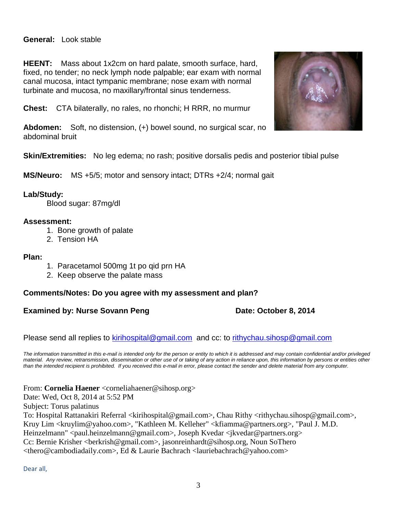### **General:** Look stable

**HEENT:** Mass about 1x2cm on hard palate, smooth surface, hard, fixed, no tender; no neck lymph node palpable; ear exam with normal canal mucosa, intact tympanic membrane; nose exam with normal turbinate and mucosa, no maxillary/frontal sinus tenderness.

**Chest:** CTA bilaterally, no rales, no rhonchi; H RRR, no murmur

**Abdomen:** Soft, no distension, (+) bowel sound, no surgical scar, no abdominal bruit

**Skin/Extremities:** No leg edema; no rash; positive dorsalis pedis and posterior tibial pulse

**MS/Neuro:** MS +5/5; motor and sensory intact; DTRs +2/4; normal gait

### **Lab/Study:**

Blood sugar: 87mg/dl

### **Assessment:**

- 1. Bone growth of palate
- 2. Tension HA

#### **Plan:**

- 1. Paracetamol 500mg 1t po qid prn HA
- 2. Keep observe the palate mass

### **Comments/Notes: Do you agree with my assessment and plan?**

### **Examined by: Nurse Sovann Peng Date: October 8, 2014**

Please send all replies to [kirihospital@gmail.com](mailto:kirihospital@gmail.com) and cc: to [rithychau.sihosp@gmail.com](mailto:rithychau.sihosp@gmail.com)

*The information transmitted in this e-mail is intended only for the person or entity to which it is addressed and may contain confidential and/or privileged material. Any review, retransmission, dissemination or other use of or taking of any action in reliance upon, this information by persons or entities other than the intended recipient is prohibited. If you received this e-mail in error, please contact the sender and delete material from any computer.*

From: **Cornelia Haener** <corneliahaener@sihosp.org> Date: Wed, Oct 8, 2014 at 5:52 PM Subject: Torus palatinus To: Hospital Rattanakiri Referral <kirihospital@gmail.com>, Chau Rithy <rithychau.sihosp@gmail.com>, Kruy Lim <kruylim@yahoo.com>, "Kathleen M. Kelleher" <kfiamma@partners.org>, "Paul J. M.D. Heinzelmann" <paul.heinzelmann@gmail.com>, Joseph Kvedar <jkvedar@partners.org> Cc: Bernie Krisher <berkrish@gmail.com>, jasonreinhardt@sihosp.org, Noun SoThero <thero@cambodiadaily.com>, Ed & Laurie Bachrach <lauriebachrach@yahoo.com>

Dear all,

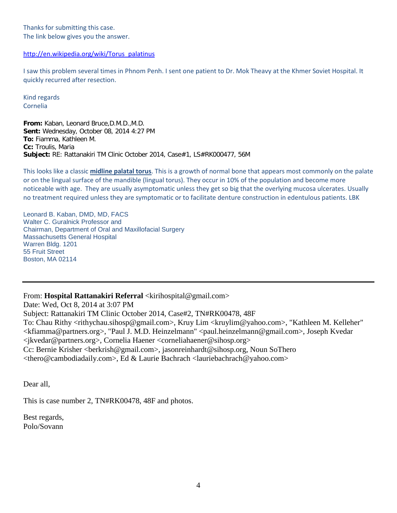Thanks for submitting this case. The link below gives you the answer.

#### [http://en.wikipedia.org/wiki/Torus\\_palatinus](http://en.wikipedia.org/wiki/Torus_palatinus)

I saw this problem several times in Phnom Penh. I sent one patient to Dr. Mok Theavy at the Khmer Soviet Hospital. It quickly recurred after resection.

Kind regards Cornelia

**From:** Kaban, Leonard Bruce,D.M.D.,M.D. **Sent:** Wednesday, October 08, 2014 4:27 PM **To:** Fiamma, Kathleen M. **Cc:** Troulis, Maria **Subject:** RE: Rattanakiri TM Clinic October 2014, Case#1, LS#RK000477, 56M

This looks like a classic **midline palatal torus**. This is a growth of normal bone that appears most commonly on the palate or on the lingual surface of the mandible (lingual torus). They occur in 10% of the population and become more noticeable with age. They are usually asymptomatic unless they get so big that the overlying mucosa ulcerates. Usually no treatment required unless they are symptomatic or to facilitate denture construction in edentulous patients. LBK

Leonard B. Kaban, DMD, MD, FACS Walter C. Guralnick Professor and Chairman, Department of Oral and Maxillofacial Surgery Massachusetts General Hospital Warren Bldg. 1201 55 Fruit Street Boston, MA 02114

From: **Hospital Rattanakiri Referral** <kirihospital@gmail.com> Date: Wed, Oct 8, 2014 at 3:07 PM Subject: Rattanakiri TM Clinic October 2014, Case#2, TN#RK00478, 48F To: Chau Rithy <rithychau.sihosp@gmail.com>, Kruy Lim <kruylim@yahoo.com>, "Kathleen M. Kelleher" <kfiamma@partners.org>, "Paul J. M.D. Heinzelmann" <paul.heinzelmann@gmail.com>, Joseph Kvedar <jkvedar@partners.org>, Cornelia Haener <corneliahaener@sihosp.org> Cc: Bernie Krisher <berkrish@gmail.com>, jasonreinhardt@sihosp.org, Noun SoThero <thero@cambodiadaily.com>, Ed & Laurie Bachrach <lauriebachrach@yahoo.com>

Dear all,

This is case number 2, TN#RK00478, 48F and photos.

Best regards, Polo/Sovann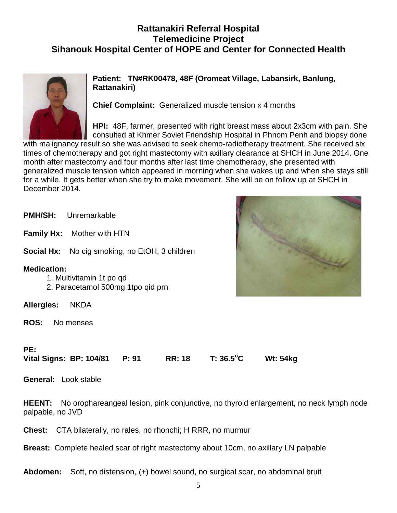## **Rattanakiri Referral Hospital Telemedicine Project Sihanouk Hospital Center of HOPE and Center for Connected Health**



**Patient: TN#RK00478, 48F (Oromeat Village, Labansirk, Banlung, Rattanakiri)**

**Chief Complaint:** Generalized muscle tension x 4 months

**HPI:** 48F, farmer, presented with right breast mass about 2x3cm with pain. She consulted at Khmer Soviet Friendship Hospital in Phnom Penh and biopsy done

with malignancy result so she was advised to seek chemo-radiotherapy treatment. She received six times of chemotherapy and got right mastectomy with axillary clearance at SHCH in June 2014. One month after mastectomy and four months after last time chemotherapy, she presented with generalized muscle tension which appeared in morning when she wakes up and when she stays still for a while. It gets better when she try to make movement. She will be on follow up at SHCH in December 2014.

**PMH/SH:** Unremarkable **Family Hx:** Mother with HTN **Social Hx:** No cig smoking, no EtOH, 3 children **Medication:**  1. Multivitamin 1t po qd 2. Paracetamol 500mg 1tpo qid prn **Allergies:** NKDA **ROS:** No menses



### **PE:**

**Vital Signs: BP: 104/81 P: 91 RR: 18 T: 36.5<sup>o</sup> C Wt: 54kg** 

**General:** Look stable

**HEENT:** No orophareangeal lesion, pink conjunctive, no thyroid enlargement, no neck lymph node palpable, no JVD

**Chest:** CTA bilaterally, no rales, no rhonchi; H RRR, no murmur

**Breast:** Complete healed scar of right mastectomy about 10cm, no axillary LN palpable

**Abdomen:** Soft, no distension, (+) bowel sound, no surgical scar, no abdominal bruit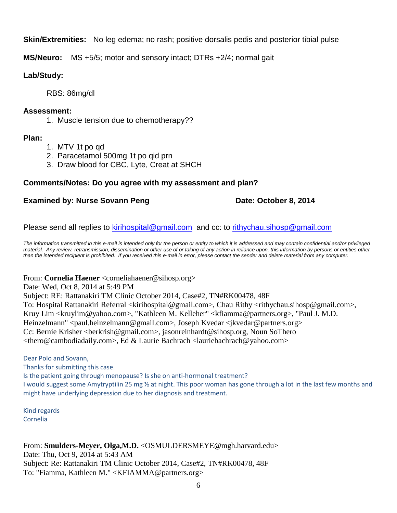### **Skin/Extremities:** No leg edema; no rash; positive dorsalis pedis and posterior tibial pulse

**MS/Neuro:** MS +5/5; motor and sensory intact; DTRs +2/4; normal gait

### **Lab/Study:**

RBS: 86mg/dl

### **Assessment:**

1. Muscle tension due to chemotherapy??

### **Plan:**

- 1. MTV 1t po qd
- 2. Paracetamol 500mg 1t po qid prn
- 3. Draw blood for CBC, Lyte, Creat at SHCH

### **Comments/Notes: Do you agree with my assessment and plan?**

### **Examined by: Nurse Sovann Peng Date: October 8, 2014**

Please send all replies to [kirihospital@gmail.com](mailto:kirihospital@gmail.com) and cc: to [rithychau.sihosp@gmail.com](mailto:rithychau.sihosp@gmail.com)

*The information transmitted in this e-mail is intended only for the person or entity to which it is addressed and may contain confidential and/or privileged*  material. Any review, retransmission, dissemination or other use of or taking of any action in reliance upon, this information by persons or entities other *than the intended recipient is prohibited. If you received this e-mail in error, please contact the sender and delete material from any computer.*

From: **Cornelia Haener** <corneliahaener@sihosp.org>

Date: Wed, Oct 8, 2014 at 5:49 PM

Subject: RE: Rattanakiri TM Clinic October 2014, Case#2, TN#RK00478, 48F To: Hospital Rattanakiri Referral <kirihospital@gmail.com>, Chau Rithy <rithychau.sihosp@gmail.com>, Kruy Lim <kruylim@yahoo.com>, "Kathleen M. Kelleher" <kfiamma@partners.org>, "Paul J. M.D. Heinzelmann" <paul.heinzelmann@gmail.com>, Joseph Kvedar <jkvedar@partners.org> Cc: Bernie Krisher <berkrish@gmail.com>, jasonreinhardt@sihosp.org, Noun SoThero <thero@cambodiadaily.com>, Ed & Laurie Bachrach <lauriebachrach@yahoo.com>

Dear Polo and Sovann, Thanks for submitting this case. Is the patient going through menopause? Is she on anti-hormonal treatment? I would suggest some Amytryptilin 25 mg 1/2 at night. This poor woman has gone through a lot in the last few months and might have underlying depression due to her diagnosis and treatment.

Kind regards Cornelia

From: **Smulders-Meyer, Olga,M.D.** <OSMULDERSMEYE@mgh.harvard.edu> Date: Thu, Oct 9, 2014 at 5:43 AM Subject: Re: Rattanakiri TM Clinic October 2014, Case#2, TN#RK00478, 48F To: "Fiamma, Kathleen M." <KFIAMMA@partners.org>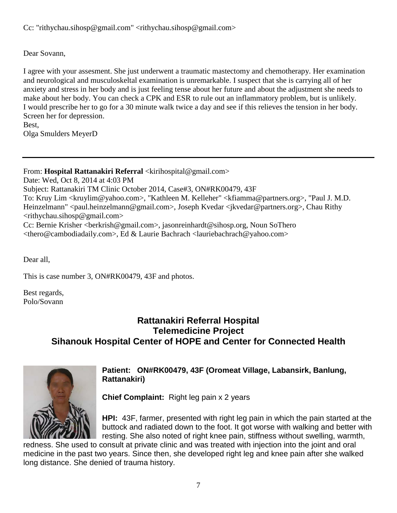Cc: "rithychau.sihosp@gmail.com" <rithychau.sihosp@gmail.com>

Dear Sovann,

I agree with your assesment. She just underwent a traumatic mastectomy and chemotherapy. Her examination and neurological and musculoskeltal examination is unremarkable. I suspect that she is carrying all of her anxiety and stress in her body and is just feeling tense about her future and about the adjustment she needs to make about her body. You can check a CPK and ESR to rule out an inflammatory problem, but is unlikely. I would prescribe her to go for a 30 minute walk twice a day and see if this relieves the tension in her body. Screen her for depression. Best,

Olga Smulders MeyerD

From: **Hospital Rattanakiri Referral** <kirihospital@gmail.com>

Date: Wed, Oct 8, 2014 at 4:03 PM Subject: Rattanakiri TM Clinic October 2014, Case#3, ON#RK00479, 43F To: Kruy Lim <kruylim@yahoo.com>, "Kathleen M. Kelleher" <kfiamma@partners.org>, "Paul J. M.D. Heinzelmann" <paul.heinzelmann@gmail.com>, Joseph Kvedar <jkvedar@partners.org>, Chau Rithy <rithychau.sihosp@gmail.com> Cc: Bernie Krisher <berkrish@gmail.com>, jasonreinhardt@sihosp.org, Noun SoThero <thero@cambodiadaily.com>, Ed & Laurie Bachrach <lauriebachrach@yahoo.com>

Dear all,

This is case number 3, ON#RK00479, 43F and photos.

Best regards, Polo/Sovann

## **Rattanakiri Referral Hospital Telemedicine Project Sihanouk Hospital Center of HOPE and Center for Connected Health**



### **Patient: ON#RK00479, 43F (Oromeat Village, Labansirk, Banlung, Rattanakiri)**

**Chief Complaint:** Right leg pain x 2 years

**HPI:** 43F, farmer, presented with right leg pain in which the pain started at the buttock and radiated down to the foot. It got worse with walking and better with resting. She also noted of right knee pain, stiffness without swelling, warmth,

redness. She used to consult at private clinic and was treated with injection into the joint and oral medicine in the past two years. Since then, she developed right leg and knee pain after she walked long distance. She denied of trauma history.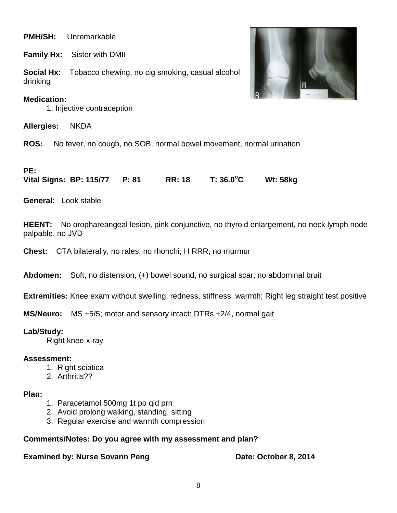### **PMH/SH:** Unremarkable

**Family Hx:** Sister with DMII

**Social Hx:** Tobacco chewing, no cig smoking, casual alcohol drinking

### **Medication:**

1. Injective contraception

**Allergies:** NKDA

**ROS:** No fever, no cough, no SOB, normal bowel movement, normal urination

### **PE:**

**Vital Signs: BP: 115/77 P: 81 RR: 18 T: 36.0<sup>o</sup> C Wt: 58kg** 

**General:** Look stable

**HEENT:** No orophareangeal lesion, pink conjunctive, no thyroid enlargement, no neck lymph node palpable, no JVD

**Chest:** CTA bilaterally, no rales, no rhonchi; H RRR, no murmur

**Abdomen:** Soft, no distension, (+) bowel sound, no surgical scar, no abdominal bruit

**Extremities:** Knee exam without swelling, redness, stiffness, warmth; Right leg straight test positive

**MS/Neuro:** MS +5/5; motor and sensory intact; DTRs +2/4, normal gait

**Lab/Study:** 

Right knee x-ray

### **Assessment:**

- 1. Right sciatica
- 2. Arthritis??

### **Plan:**

- 1. Paracetamol 500mg 1t po qid prn
- 2. Avoid prolong walking, standing, sitting
- 3. Regular exercise and warmth compression

### **Comments/Notes: Do you agree with my assessment and plan?**

**Examined by: Nurse Sovann Peng Date: October 8, 2014** 

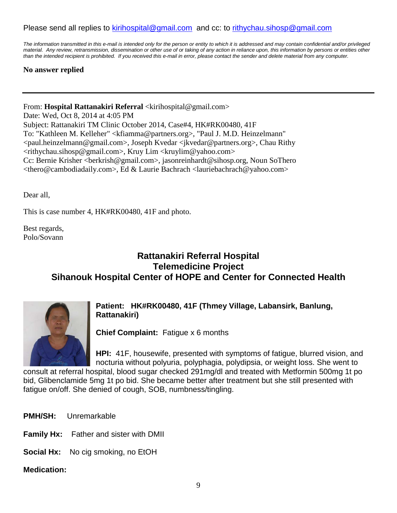### Please send all replies to [kirihospital@gmail.com](mailto:kirihospital@gmail.com) and cc: to [rithychau.sihosp@gmail.com](mailto:rithychau.sihosp@gmail.com)

*The information transmitted in this e-mail is intended only for the person or entity to which it is addressed and may contain confidential and/or privileged material. Any review, retransmission, dissemination or other use of or taking of any action in reliance upon, this information by persons or entities other than the intended recipient is prohibited. If you received this e-mail in error, please contact the sender and delete material from any computer.*

### **No answer replied**

From: **Hospital Rattanakiri Referral** <kirihospital@gmail.com>

Date: Wed, Oct 8, 2014 at 4:05 PM Subject: Rattanakiri TM Clinic October 2014, Case#4, HK#RK00480, 41F To: "Kathleen M. Kelleher" <kfiamma@partners.org>, "Paul J. M.D. Heinzelmann" <paul.heinzelmann@gmail.com>, Joseph Kvedar <jkvedar@partners.org>, Chau Rithy <rithychau.sihosp@gmail.com>, Kruy Lim <kruylim@yahoo.com> Cc: Bernie Krisher <berkrish@gmail.com>, jasonreinhardt@sihosp.org, Noun SoThero <thero@cambodiadaily.com>, Ed & Laurie Bachrach <lauriebachrach@yahoo.com>

Dear all,

This is case number 4, HK#RK00480, 41F and photo.

Best regards, Polo/Sovann

### **Rattanakiri Referral Hospital Telemedicine Project Sihanouk Hospital Center of HOPE and Center for Connected Health**



**Patient: HK#RK00480, 41F (Thmey Village, Labansirk, Banlung, Rattanakiri)**

**Chief Complaint:** Fatigue x 6 months

**HPI:** 41F, housewife, presented with symptoms of fatigue, blurred vision, and nocturia without polyuria, polyphagia, polydipsia, or weight loss. She went to

consult at referral hospital, blood sugar checked 291mg/dl and treated with Metformin 500mg 1t po bid, Glibenclamide 5mg 1t po bid. She became better after treatment but she still presented with fatigue on/off. She denied of cough, SOB, numbness/tingling.

**PMH/SH:** Unremarkable

**Family Hx:** Father and sister with DMII

**Social Hx:** No cig smoking, no EtOH

### **Medication:**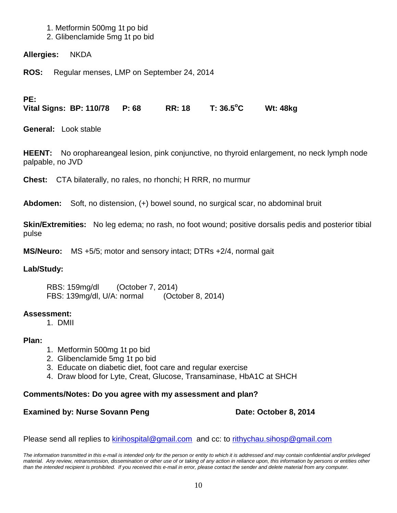### 1. Metformin 500mg 1t po bid

2. Glibenclamide 5mg 1t po bid

**Allergies:** NKDA

**ROS:** Regular menses, LMP on September 24, 2014

### **PE:**

**Vital Signs: BP: 110/78 P: 68 RR: 18 T: 36.5<sup>o</sup> C Wt: 48kg** 

**General:** Look stable

**HEENT:** No orophareangeal lesion, pink conjunctive, no thyroid enlargement, no neck lymph node palpable, no JVD

**Chest:** CTA bilaterally, no rales, no rhonchi; H RRR, no murmur

**Abdomen:** Soft, no distension, (+) bowel sound, no surgical scar, no abdominal bruit

**Skin/Extremities:** No leg edema; no rash, no foot wound; positive dorsalis pedis and posterior tibial pulse

**MS/Neuro:** MS +5/5; motor and sensory intact; DTRs +2/4, normal gait

### **Lab/Study:**

RBS: 159mg/dl (October 7, 2014) FBS: 139mg/dl, U/A: normal (October 8, 2014)

### **Assessment:**

1. DMII

### **Plan:**

- 1. Metformin 500mg 1t po bid
- 2. Glibenclamide 5mg 1t po bid
- 3. Educate on diabetic diet, foot care and regular exercise
- 4. Draw blood for Lyte, Creat, Glucose, Transaminase, HbA1C at SHCH

### **Comments/Notes: Do you agree with my assessment and plan?**

### **Examined by: Nurse Sovann Peng Date: October 8, 2014**

Please send all replies to [kirihospital@gmail.com](mailto:kirihospital@gmail.com) and cc: to [rithychau.sihosp@gmail.com](mailto:rithychau.sihosp@gmail.com)

*The information transmitted in this e-mail is intended only for the person or entity to which it is addressed and may contain confidential and/or privileged material. Any review, retransmission, dissemination or other use of or taking of any action in reliance upon, this information by persons or entities other than the intended recipient is prohibited. If you received this e-mail in error, please contact the sender and delete material from any computer.*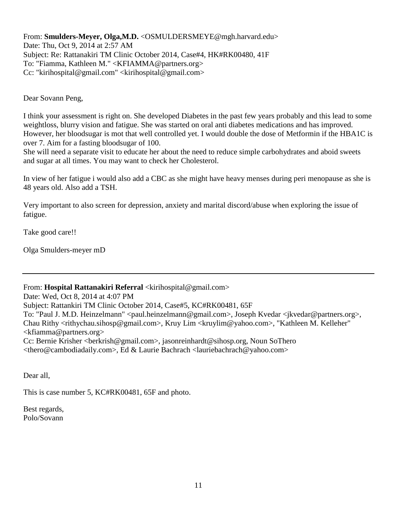From: **Smulders-Meyer, Olga,M.D.** <OSMULDERSMEYE@mgh.harvard.edu> Date: Thu, Oct 9, 2014 at 2:57 AM Subject: Re: Rattanakiri TM Clinic October 2014, Case#4, HK#RK00480, 41F To: "Fiamma, Kathleen M." <KFIAMMA@partners.org> Cc: "kirihospital@gmail.com" <kirihospital@gmail.com>

Dear Sovann Peng,

I think your assessment is right on. She developed Diabetes in the past few years probably and this lead to some weightloss, blurry vision and fatigue. She was started on oral anti diabetes medications and has improved. However, her bloodsugar is mot that well controlled yet. I would double the dose of Metformin if the HBA1C is over 7. Aim for a fasting bloodsugar of 100.

She will need a separate visit to educate her about the need to reduce simple carbohydrates and aboid sweets and sugar at all times. You may want to check her Cholesterol.

In view of her fatigue i would also add a CBC as she might have heavy menses during peri menopause as she is 48 years old. Also add a TSH.

Very important to also screen for depression, anxiety and marital discord/abuse when exploring the issue of fatigue.

Take good care!!

Olga Smulders-meyer mD

From: Hospital Rattanakiri Referral <kirihospital@gmail.com>

Date: Wed, Oct 8, 2014 at 4:07 PM

Subject: Rattankiri TM Clinic October 2014, Case#5, KC#RK00481, 65F

To: "Paul J. M.D. Heinzelmann" <paul.heinzelmann@gmail.com>, Joseph Kvedar <jkvedar@partners.org>, Chau Rithy <rithychau.sihosp@gmail.com>, Kruy Lim <kruylim@yahoo.com>, "Kathleen M. Kelleher"

 $\langle k$ fiamma@partners.org $>$ 

Cc: Bernie Krisher <berkrish@gmail.com>, jasonreinhardt@sihosp.org, Noun SoThero <thero@cambodiadaily.com>, Ed & Laurie Bachrach <lauriebachrach@yahoo.com>

Dear all,

This is case number 5, KC#RK00481, 65F and photo.

Best regards, Polo/Sovann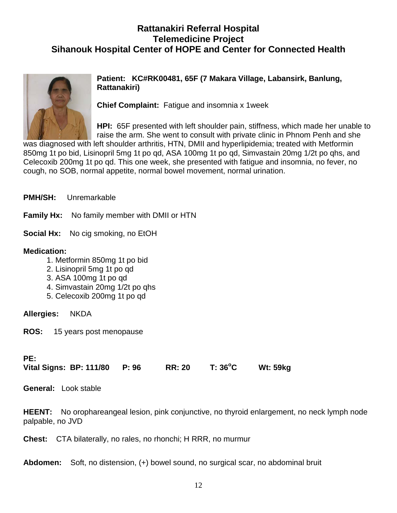## **Rattanakiri Referral Hospital Telemedicine Project Sihanouk Hospital Center of HOPE and Center for Connected Health**



**Patient: KC#RK00481, 65F (7 Makara Village, Labansirk, Banlung, Rattanakiri)**

**Chief Complaint:** Fatigue and insomnia x 1week

**HPI:** 65F presented with left shoulder pain, stiffness, which made her unable to raise the arm. She went to consult with private clinic in Phnom Penh and she

was diagnosed with left shoulder arthritis, HTN, DMII and hyperlipidemia; treated with Metformin 850mg 1t po bid, Lisinopril 5mg 1t po qd, ASA 100mg 1t po qd, Simvastain 20mg 1/2t po qhs, and Celecoxib 200mg 1t po qd. This one week, she presented with fatigue and insomnia, no fever, no cough, no SOB, normal appetite, normal bowel movement, normal urination.

**Family Hx:** No family member with DMII or HTN

**Social Hx:** No cig smoking, no EtOH

### **Medication:**

- 1. Metformin 850mg 1t po bid
- 2. Lisinopril 5mg 1t po qd
- 3. ASA 100mg 1t po qd
- 4. Simvastain 20mg 1/2t po qhs
- 5. Celecoxib 200mg 1t po qd

**Allergies:** NKDA

**ROS:** 15 years post menopause

### **PE:**

**Vital Signs: BP: 111/80 P: 96 RR: 20 T: 36<sup>o</sup> C Wt: 59kg** 

**General:** Look stable

**HEENT:** No orophareangeal lesion, pink conjunctive, no thyroid enlargement, no neck lymph node palpable, no JVD

**Chest:** CTA bilaterally, no rales, no rhonchi; H RRR, no murmur

**Abdomen:** Soft, no distension, (+) bowel sound, no surgical scar, no abdominal bruit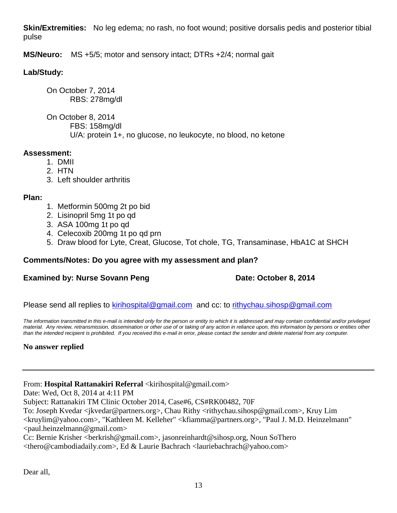**Skin/Extremities:** No leg edema; no rash, no foot wound; positive dorsalis pedis and posterior tibial pulse

**MS/Neuro:** MS +5/5; motor and sensory intact; DTRs +2/4; normal gait

### **Lab/Study:**

On October 7, 2014 RBS: 278mg/dl

On October 8, 2014 FBS: 158mg/dl U/A: protein 1+, no glucose, no leukocyte, no blood, no ketone

### **Assessment:**

- 1. DMII
- 2. HTN
- 3. Left shoulder arthritis

### **Plan:**

- 1. Metformin 500mg 2t po bid
- 2. Lisinopril 5mg 1t po qd
- 3. ASA 100mg 1t po qd
- 4. Celecoxib 200mg 1t po qd prn
- 5. Draw blood for Lyte, Creat, Glucose, Tot chole, TG, Transaminase, HbA1C at SHCH

### **Comments/Notes: Do you agree with my assessment and plan?**

### **Examined by: Nurse Sovann Peng Date: October 8, 2014**

Please send all replies to [kirihospital@gmail.com](mailto:kirihospital@gmail.com) and cc: to [rithychau.sihosp@gmail.com](mailto:rithychau.sihosp@gmail.com)

*The information transmitted in this e-mail is intended only for the person or entity to which it is addressed and may contain confidential and/or privileged material. Any review, retransmission, dissemination or other use of or taking of any action in reliance upon, this information by persons or entities other than the intended recipient is prohibited. If you received this e-mail in error, please contact the sender and delete material from any computer.*

### **No answer replied**

From: **Hospital Rattanakiri Referral** <kirihospital@gmail.com>

Date: Wed, Oct 8, 2014 at 4:11 PM

Subject: Rattanakiri TM Clinic October 2014, Case#6, CS#RK00482, 70F

To: Joseph Kvedar <jkvedar@partners.org>, Chau Rithy <rithychau.sihosp@gmail.com>, Kruy Lim

<kruylim@yahoo.com>, "Kathleen M. Kelleher" <kfiamma@partners.org>, "Paul J. M.D. Heinzelmann" <paul.heinzelmann@gmail.com>

Cc: Bernie Krisher <berkrish@gmail.com>, jasonreinhardt@sihosp.org, Noun SoThero <thero@cambodiadaily.com>, Ed & Laurie Bachrach <lauriebachrach@yahoo.com>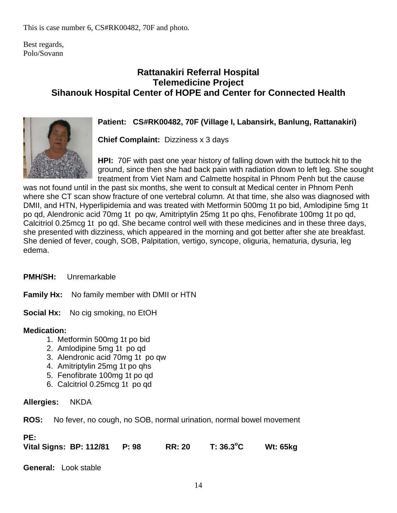This is case number 6, CS#RK00482, 70F and photo.

Best regards, Polo/Sovann

### **Rattanakiri Referral Hospital Telemedicine Project Sihanouk Hospital Center of HOPE and Center for Connected Health**



### **Patient: CS#RK00482, 70F (Village I, Labansirk, Banlung, Rattanakiri)**

**Chief Complaint:** Dizziness x 3 days

**HPI:** 70F with past one year history of falling down with the buttock hit to the ground, since then she had back pain with radiation down to left leg. She sought treatment from Viet Nam and Calmette hospital in Phnom Penh but the cause

was not found until in the past six months, she went to consult at Medical center in Phnom Penh where she CT scan show fracture of one vertebral column. At that time, she also was diagnosed with DMII, and HTN, Hyperlipidemia and was treated with Metformin 500mg 1t po bid, Amlodipine 5mg 1t po qd, Alendronic acid 70mg 1t po qw, Amitriptylin 25mg 1t po qhs, Fenofibrate 100mg 1t po qd, Calcitriol 0.25mcg 1t po qd. She became control well with these medicines and in these three days, she presented with dizziness, which appeared in the morning and got better after she ate breakfast. She denied of fever, cough, SOB, Palpitation, vertigo, syncope, oliguria, hematuria, dysuria, leg edema.

**PMH/SH:** Unremarkable

**Family Hx:** No family member with DMII or HTN

**Social Hx:** No cig smoking, no EtOH

### **Medication:**

- 1. Metformin 500mg 1t po bid
- 2. Amlodipine 5mg 1t po qd
- 3. Alendronic acid 70mg 1t po qw
- 4. Amitriptylin 25mg 1t po qhs
- 5. Fenofibrate 100mg 1t po qd
- 6. Calcitriol 0.25mcg 1t po qd

### **Allergies:** NKDA

**ROS:** No fever, no cough, no SOB, normal urination, normal bowel movement

**PE:**

**Vital Signs: BP: 112/81 P: 98 RR: 20 T: 36.3<sup>o</sup> C Wt: 65kg** 

**General:** Look stable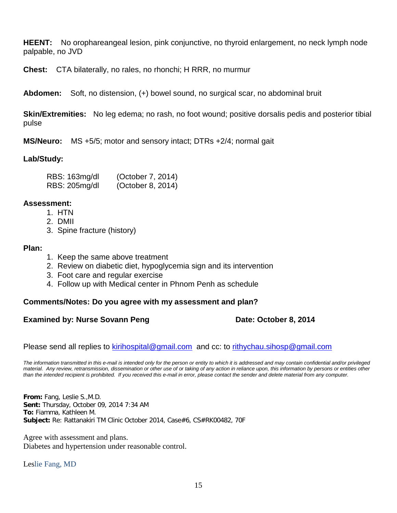**HEENT:** No orophareangeal lesion, pink conjunctive, no thyroid enlargement, no neck lymph node palpable, no JVD

**Chest:** CTA bilaterally, no rales, no rhonchi; H RRR, no murmur

**Abdomen:** Soft, no distension, (+) bowel sound, no surgical scar, no abdominal bruit

**Skin/Extremities:** No leg edema; no rash, no foot wound; positive dorsalis pedis and posterior tibial pulse

**MS/Neuro:** MS +5/5; motor and sensory intact; DTRs +2/4; normal gait

### **Lab/Study:**

| RBS: 163mg/dl | (October 7, 2014) |
|---------------|-------------------|
| RBS: 205mg/dl | (October 8, 2014) |

### **Assessment:**

- 1. HTN
- 2. DMII
- 3. Spine fracture (history)

### **Plan:**

- 1. Keep the same above treatment
- 2. Review on diabetic diet, hypoglycemia sign and its intervention
- 3. Foot care and regular exercise
- 4. Follow up with Medical center in Phnom Penh as schedule

### **Comments/Notes: Do you agree with my assessment and plan?**

### **Examined by: Nurse Sovann Peng Date: October 8, 2014**

Please send all replies to [kirihospital@gmail.com](mailto:kirihospital@gmail.com) and cc: to [rithychau.sihosp@gmail.com](mailto:rithychau.sihosp@gmail.com)

*The information transmitted in this e-mail is intended only for the person or entity to which it is addressed and may contain confidential and/or privileged material. Any review, retransmission, dissemination or other use of or taking of any action in reliance upon, this information by persons or entities other than the intended recipient is prohibited. If you received this e-mail in error, please contact the sender and delete material from any computer.*

**From:** Fang, Leslie S.,M.D. **Sent:** Thursday, October 09, 2014 7:34 AM **To:** Fiamma, Kathleen M. **Subject:** Re: Rattanakiri TM Clinic October 2014, Case#6, CS#RK00482, 70F

Agree with assessment and plans. Diabetes and hypertension under reasonable control.

Leslie Fang, MD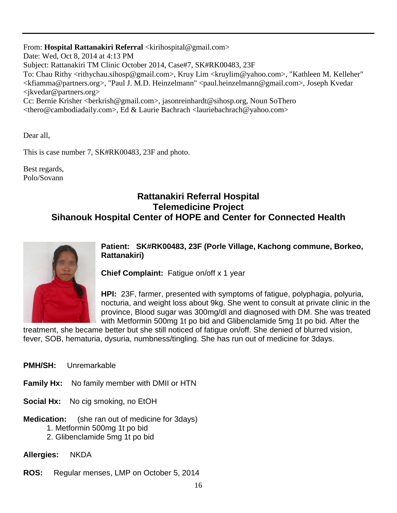From: Hospital Rattanakiri Referral <kirihospital@gmail.com> Date: Wed, Oct 8, 2014 at 4:13 PM Subject: Rattanakiri TM Clinic October 2014, Case#7, SK#RK00483, 23F To: Chau Rithy <rithychau.sihosp@gmail.com>, Kruy Lim <kruylim@yahoo.com>, "Kathleen M. Kelleher" <kfiamma@partners.org>, "Paul J. M.D. Heinzelmann" <paul.heinzelmann@gmail.com>, Joseph Kvedar <jkvedar@partners.org> Cc: Bernie Krisher <berkrish@gmail.com>, jasonreinhardt@sihosp.org, Noun SoThero <thero@cambodiadaily.com>, Ed & Laurie Bachrach <lauriebachrach@yahoo.com>

Dear all,

This is case number 7, SK#RK00483, 23F and photo.

Best regards, Polo/Sovann

### **Rattanakiri Referral Hospital Telemedicine Project Sihanouk Hospital Center of HOPE and Center for Connected Health**



**Patient: SK#RK00483, 23F (Porle Village, Kachong commune, Borkeo, Rattanakiri)**

**Chief Complaint:** Fatigue on/off x 1 year

**HPI:** 23F, farmer, presented with symptoms of fatigue, polyphagia, polyuria, nocturia, and weight loss about 9kg. She went to consult at private clinic in the province, Blood sugar was 300mg/dl and diagnosed with DM. She was treated with Metformin 500mg 1t po bid and Glibenclamide 5mg 1t po bid. After the

treatment, she became better but she still noticed of fatigue on/off. She denied of blurred vision, fever, SOB, hematuria, dysuria, numbness/tingling. She has run out of medicine for 3days.

- **PMH/SH:** Unremarkable
- **Family Hx:** No family member with DMII or HTN
- **Social Hx:** No cig smoking, no EtOH
- **Medication:** (she ran out of medicine for 3days)
	- 1. Metformin 500mg 1t po bid
	- 2. Glibenclamide 5mg 1t po bid

**Allergies:** NKDA

**ROS:** Regular menses, LMP on October 5, 2014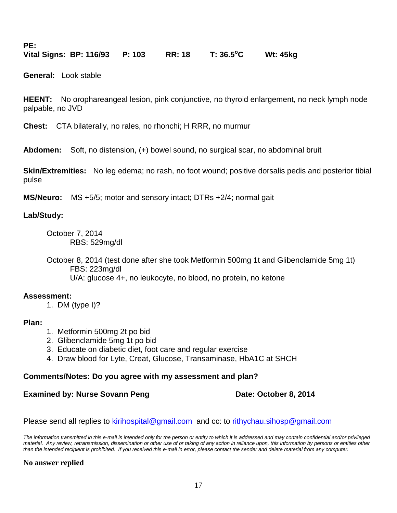**PE:**

**Vital Signs: BP: 116/93 P: 103 RR: 18 T: 36.5<sup>o</sup> C Wt: 45kg** 

**General:** Look stable

**HEENT:** No orophareangeal lesion, pink conjunctive, no thyroid enlargement, no neck lymph node palpable, no JVD

**Chest:** CTA bilaterally, no rales, no rhonchi; H RRR, no murmur

**Abdomen:** Soft, no distension, (+) bowel sound, no surgical scar, no abdominal bruit

**Skin/Extremities:** No leg edema; no rash, no foot wound; positive dorsalis pedis and posterior tibial pulse

**MS/Neuro:** MS +5/5; motor and sensory intact; DTRs +2/4; normal gait

### **Lab/Study:**

October 7, 2014 RBS: 529mg/dl

October 8, 2014 (test done after she took Metformin 500mg 1t and Glibenclamide 5mg 1t) FBS: 223mg/dl U/A: glucose 4+, no leukocyte, no blood, no protein, no ketone

### **Assessment:**

1. DM (type I)?

### **Plan:**

- 1. Metformin 500mg 2t po bid
- 2. Glibenclamide 5mg 1t po bid
- 3. Educate on diabetic diet, foot care and regular exercise
- 4. Draw blood for Lyte, Creat, Glucose, Transaminase, HbA1C at SHCH

### **Comments/Notes: Do you agree with my assessment and plan?**

### **Examined by: Nurse Sovann Peng Date: October 8, 2014**

Please send all replies to [kirihospital@gmail.com](mailto:kirihospital@gmail.com) and cc: to [rithychau.sihosp@gmail.com](mailto:rithychau.sihosp@gmail.com)

*The information transmitted in this e-mail is intended only for the person or entity to which it is addressed and may contain confidential and/or privileged material. Any review, retransmission, dissemination or other use of or taking of any action in reliance upon, this information by persons or entities other than the intended recipient is prohibited. If you received this e-mail in error, please contact the sender and delete material from any computer.*

### **No answer replied**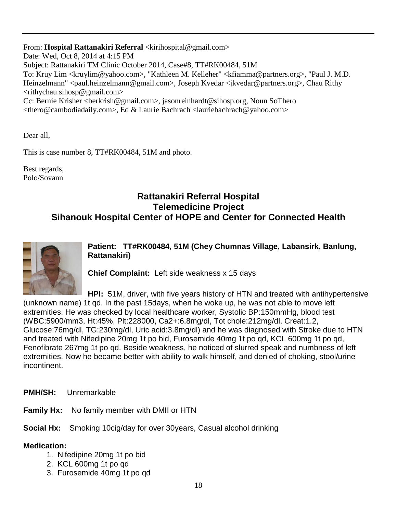From: Hospital Rattanakiri Referral <kirihospital@gmail.com> Date: Wed, Oct 8, 2014 at 4:15 PM Subject: Rattanakiri TM Clinic October 2014, Case#8, TT#RK00484, 51M To: Kruy Lim <kruylim@yahoo.com>, "Kathleen M. Kelleher" <kfiamma@partners.org>, "Paul J. M.D. Heinzelmann" <paul.heinzelmann@gmail.com>, Joseph Kvedar <jkvedar@partners.org>, Chau Rithy <rithychau.sihosp@gmail.com> Cc: Bernie Krisher <berkrish@gmail.com>, jasonreinhardt@sihosp.org, Noun SoThero <thero@cambodiadaily.com>, Ed & Laurie Bachrach <lauriebachrach@yahoo.com>

Dear all,

This is case number 8, TT#RK00484, 51M and photo.

Best regards, Polo/Sovann

### **Rattanakiri Referral Hospital Telemedicine Project Sihanouk Hospital Center of HOPE and Center for Connected Health**



**Patient: TT#RK00484, 51M (Chey Chumnas Village, Labansirk, Banlung, Rattanakiri)**

**Chief Complaint:** Left side weakness x 15 days

**HPI:** 51M, driver, with five years history of HTN and treated with antihypertensive (unknown name) 1t qd. In the past 15days, when he woke up, he was not able to move left extremities. He was checked by local healthcare worker, Systolic BP:150mmHg, blood test (WBC:5900/mm3, Ht:45%, Plt:228000, Ca2+:6.8mg/dl, Tot chole:212mg/dl, Creat:1.2, Glucose:76mg/dl, TG:230mg/dl, Uric acid:3.8mg/dl) and he was diagnosed with Stroke due to HTN and treated with Nifedipine 20mg 1t po bid, Furosemide 40mg 1t po qd, KCL 600mg 1t po qd, Fenofibrate 267mg 1t po qd. Beside weakness, he noticed of slurred speak and numbness of left extremities. Now he became better with ability to walk himself, and denied of choking, stool/urine incontinent.

**PMH/SH:** Unremarkable

**Family Hx:** No family member with DMII or HTN

**Social Hx:** Smoking 10cig/day for over 30years, Casual alcohol drinking

### **Medication:**

- 1. Nifedipine 20mg 1t po bid
- 2. KCL 600mg 1t po qd
- 3. Furosemide 40mg 1t po qd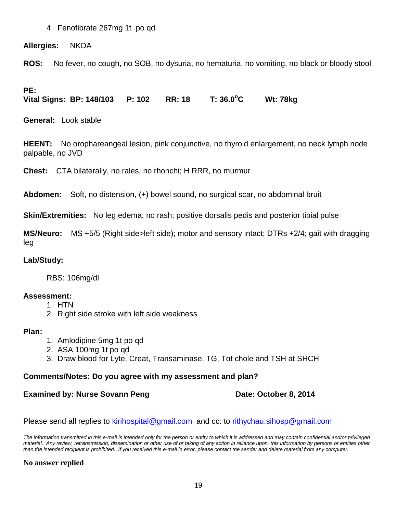### 4. Fenofibrate 267mg 1t po qd

### **Allergies:** NKDA

**ROS:** No fever, no cough, no SOB, no dysuria, no hematuria, no vomiting, no black or bloody stool

### **PE:**

**Vital Signs: BP: 148/103 P: 102 RR: 18 T: 36.0<sup>o</sup> C Wt: 78kg** 

**General:** Look stable

**HEENT:** No orophareangeal lesion, pink conjunctive, no thyroid enlargement, no neck lymph node palpable, no JVD

**Chest:** CTA bilaterally, no rales, no rhonchi; H RRR, no murmur

**Abdomen:** Soft, no distension, (+) bowel sound, no surgical scar, no abdominal bruit

**Skin/Extremities:** No leg edema; no rash; positive dorsalis pedis and posterior tibial pulse

**MS/Neuro:** MS +5/5 (Right side>left side); motor and sensory intact; DTRs +2/4; gait with dragging leg

### **Lab/Study:**

RBS: 106mg/dl

### **Assessment:**

- 1. HTN
- 2. Right side stroke with left side weakness

### **Plan:**

- 1. Amlodipine 5mg 1t po qd
- 2. ASA 100mg 1t po qd
- 3. Draw blood for Lyte, Creat, Transaminase, TG, Tot chole and TSH at SHCH

### **Comments/Notes: Do you agree with my assessment and plan?**

### **Examined by: Nurse Sovann Peng Date: October 8, 2014**

Please send all replies to [kirihospital@gmail.com](mailto:kirihospital@gmail.com) and cc: to [rithychau.sihosp@gmail.com](mailto:rithychau.sihosp@gmail.com)

*The information transmitted in this e-mail is intended only for the person or entity to which it is addressed and may contain confidential and/or privileged material. Any review, retransmission, dissemination or other use of or taking of any action in reliance upon, this information by persons or entities other than the intended recipient is prohibited. If you received this e-mail in error, please contact the sender and delete material from any computer.*

### **No answer replied**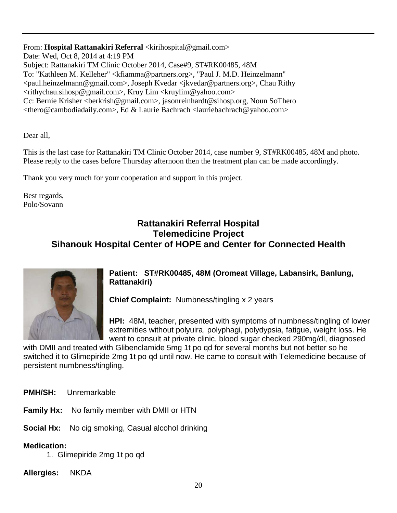From: Hospital Rattanakiri Referral <kirihospital@gmail.com> Date: Wed, Oct 8, 2014 at 4:19 PM Subject: Rattanakiri TM Clinic October 2014, Case#9, ST#RK00485, 48M To: "Kathleen M. Kelleher" <kfiamma@partners.org>, "Paul J. M.D. Heinzelmann" <paul.heinzelmann@gmail.com>, Joseph Kvedar <jkvedar@partners.org>, Chau Rithy <rithychau.sihosp@gmail.com>, Kruy Lim <kruylim@yahoo.com> Cc: Bernie Krisher <berkrish@gmail.com>, jasonreinhardt@sihosp.org, Noun SoThero <thero@cambodiadaily.com>, Ed & Laurie Bachrach <lauriebachrach@yahoo.com>

Dear all,

This is the last case for Rattanakiri TM Clinic October 2014, case number 9, ST#RK00485, 48M and photo. Please reply to the cases before Thursday afternoon then the treatment plan can be made accordingly.

Thank you very much for your cooperation and support in this project.

Best regards, Polo/Sovann

### **Rattanakiri Referral Hospital Telemedicine Project Sihanouk Hospital Center of HOPE and Center for Connected Health**



**Patient: ST#RK00485, 48M (Oromeat Village, Labansirk, Banlung, Rattanakiri)**

**Chief Complaint:** Numbness/tingling x 2 years

**HPI:** 48M, teacher, presented with symptoms of numbness/tingling of lower extremities without polyuira, polyphagi, polydypsia, fatigue, weight loss. He went to consult at private clinic, blood sugar checked 290mg/dl, diagnosed

with DMII and treated with Glibenclamide 5mg 1t po qd for several months but not better so he switched it to Glimepiride 2mg 1t po qd until now. He came to consult with Telemedicine because of persistent numbness/tingling.

**PMH/SH:** Unremarkable

**Family Hx:** No family member with DMII or HTN

**Social Hx:** No cig smoking, Casual alcohol drinking

### **Medication:**

1. Glimepiride 2mg 1t po qd

**Allergies:** NKDA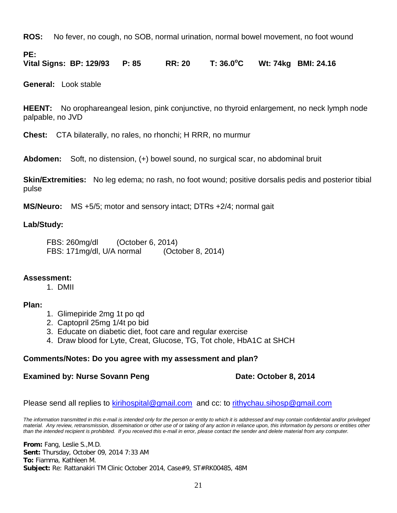**ROS:** No fever, no cough, no SOB, normal urination, normal bowel movement, no foot wound

**PE:**

**Vital Signs: BP: 129/93 P: 85 RR: 20 T: 36.0<sup>o</sup> C Wt: 74kg BMI: 24.16**

**General:** Look stable

**HEENT:** No orophareangeal lesion, pink conjunctive, no thyroid enlargement, no neck lymph node palpable, no JVD

**Chest:** CTA bilaterally, no rales, no rhonchi; H RRR, no murmur

**Abdomen:** Soft, no distension, (+) bowel sound, no surgical scar, no abdominal bruit

**Skin/Extremities:** No leg edema; no rash, no foot wound; positive dorsalis pedis and posterior tibial pulse

**MS/Neuro:** MS +5/5; motor and sensory intact; DTRs +2/4; normal gait

### **Lab/Study:**

FBS: 260mg/dl (October 6, 2014) FBS: 171mg/dl, U/A normal (October 8, 2014)

### **Assessment:**

### 1. DMII

### **Plan:**

- 1. Glimepiride 2mg 1t po qd
- 2. Captopril 25mg 1/4t po bid
- 3. Educate on diabetic diet, foot care and regular exercise
- 4. Draw blood for Lyte, Creat, Glucose, TG, Tot chole, HbA1C at SHCH

### **Comments/Notes: Do you agree with my assessment and plan?**

### **Examined by: Nurse Sovann Peng Date: October 8, 2014**

Please send all replies to [kirihospital@gmail.com](mailto:kirihospital@gmail.com) and cc: to [rithychau.sihosp@gmail.com](mailto:rithychau.sihosp@gmail.com)

*The information transmitted in this e-mail is intended only for the person or entity to which it is addressed and may contain confidential and/or privileged material. Any review, retransmission, dissemination or other use of or taking of any action in reliance upon, this information by persons or entities other than the intended recipient is prohibited. If you received this e-mail in error, please contact the sender and delete material from any computer.*

**From:** Fang, Leslie S.,M.D. **Sent:** Thursday, October 09, 2014 7:33 AM **To:** Fiamma, Kathleen M. **Subject:** Re: Rattanakiri TM Clinic October 2014, Case#9, ST#RK00485, 48M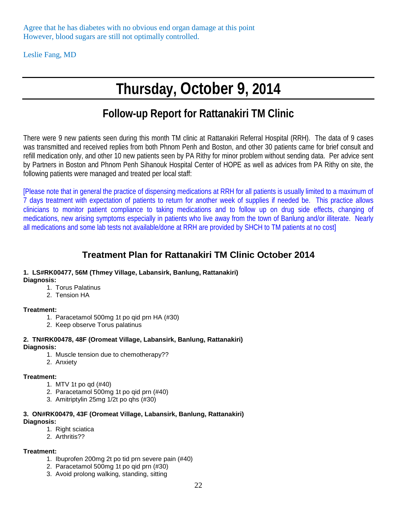Agree that he has diabetes with no obvious end organ damage at this point However, blood sugars are still not optimally controlled.

Leslie Fang, MD

# **Thursday, October 9, 2014**

# **Follow-up Report for Rattanakiri TM Clinic**

There were 9 new patients seen during this month TM clinic at Rattanakiri Referral Hospital (RRH). The data of 9 cases was transmitted and received replies from both Phnom Penh and Boston, and other 30 patients came for brief consult and refill medication only, and other 10 new patients seen by PA Rithy for minor problem without sending data. Per advice sent by Partners in Boston and Phnom Penh Sihanouk Hospital Center of HOPE as well as advices from PA Rithy on site, the following patients were managed and treated per local staff:

[Please note that in general the practice of dispensing medications at RRH for all patients is usually limited to a maximum of 7 days treatment with expectation of patients to return for another week of supplies if needed be. This practice allows clinicians to monitor patient compliance to taking medications and to follow up on drug side effects, changing of medications, new arising symptoms especially in patients who live away from the town of Banlung and/or illiterate. Nearly all medications and some lab tests not available/done at RRH are provided by SHCH to TM patients at no cost]

### **Treatment Plan for Rattanakiri TM Clinic October 2014**

#### **1. LS#RK00477, 56M (Thmey Village, Labansirk, Banlung, Rattanakiri) Diagnosis:**

- 1. Torus Palatinus
- 2. Tension HA

### **Treatment:**

- 1. Paracetamol 500mg 1t po qid prn HA (#30)
- 2. Keep observe Torus palatinus

#### **2. TN#RK00478, 48F (Oromeat Village, Labansirk, Banlung, Rattanakiri) Diagnosis:**

- 1. Muscle tension due to chemotherapy??
- 2. Anxiety

### **Treatment:**

- 1. MTV 1t po qd (#40)
- 2. Paracetamol 500mg 1t po qid prn (#40)
- 3. Amitriptylin 25mg 1/2t po qhs (#30)

#### **3. ON#RK00479, 43F (Oromeat Village, Labansirk, Banlung, Rattanakiri) Diagnosis:**

- 1. Right sciatica
- 2. Arthritis??

#### **Treatment:**

- 1. Ibuprofen 200mg 2t po tid prn severe pain (#40)
- 2. Paracetamol 500mg 1t po qid prn (#30)
- 3. Avoid prolong walking, standing, sitting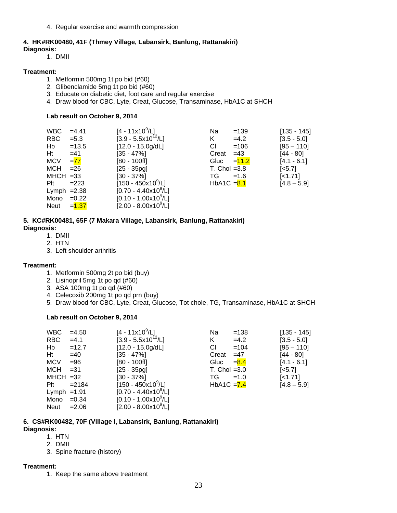4. Regular exercise and warmth compression

#### **4. HK#RK00480, 41F (Thmey Village, Labansirk, Banlung, Rattanakiri)**

#### **Diagnosis:**

1. DMII

#### **Treatment:**

- 1. Metformin 500mg 1t po bid (#60)
- 2. Glibenclamide 5mg 1t po bid (#60)
- 3. Educate on diabetic diet, foot care and regular exercise
- 4. Draw blood for CBC, Lyte, Creat, Glucose, Transaminase, HbA1C at SHCH

#### **Lab result on October 9, 2014**

| <b>WBC</b>    | $=4.41$  | $[4 - 11 \times 10^9/L]$           | Na<br>$=139$     | $[135 - 145]$         |
|---------------|----------|------------------------------------|------------------|-----------------------|
| <b>RBC</b>    | $= 5.3$  | $[3.9 - 5.5x10^{12}/L]$            | K<br>$=4.2$      | $[3.5 - 5.0]$         |
| Hb            | $=13.5$  | $[12.0 - 15.0g/dL]$                | $=106$<br>CI.    | $[95 - 110]$          |
| Ht            | $=41$    | $[35 - 47\%]$                      | $=43$<br>Creat   | $[44 - 80]$           |
| <b>MCV</b>    | $= 77$   | $[80 - 100$ fl]                    | $= 11.2$<br>Gluc | $[4.1 - 6.1]$         |
| <b>MCH</b>    | $= 26$   | $[25 - 35pg]$                      | $T.$ Chol = 3.8  | $\left[ <5.7 \right]$ |
| $MHCH = 33$   |          | $[30 - 37\%]$                      | TG.<br>$=1.6$    | $[-1.71]$             |
| Plt           | $=223$   | $[150 - 450 \times 10^9/\text{L}]$ | $HbA1C = 8.1$    | $[4.8 - 5.9]$         |
| Lymph $=2.38$ |          | $[0.70 - 4.40 \times 10^9$ /L]     |                  |                       |
| Mono          | $=0.22$  | $[0.10 - 1.00 \times 10^9/L]$      |                  |                       |
| Neut          | $= 1.37$ | $[2.00 - 8.00 \times 10^{9} / L]$  |                  |                       |

#### **5. KC#RK00481, 65F (7 Makara Village, Labansirk, Banlung, Rattanakiri) Diagnosis:**

- 1. DMII
- 2. HTN
- 3. Left shoulder arthritis

#### **Treatment:**

- 1. Metformin 500mg 2t po bid (buy)
- 2. Lisinopril 5mg 1t po qd (#60)
- 3. ASA 100mg 1t po qd (#60)
- 4. Celecoxib 200mg 1t po qd prn (buy)
- 5. Draw blood for CBC, Lyte, Creat, Glucose, Tot chole, TG, Transaminase, HbA1C at SHCH

#### **Lab result on October 9, 2014**

| <b>WBC</b>    | $=4.50$  | $[4 - 11 \times 10^9/\text{L}]$      | $=138$<br>Na    | $[135 - 145]$         |
|---------------|----------|--------------------------------------|-----------------|-----------------------|
| <b>RBC</b>    | $=4.1$   | $[3.9 - 5.5 \times 10^{12} / L]$     | $=4.2$<br>K     | $[3.5 - 5.0]$         |
| Hb            | $=12.7$  | $[12.0 - 15.0g/dL]$                  | СI<br>$=104$    | $[95 - 110]$          |
| Ht            | $=40$    | $[35 - 47\%]$                        | $=47$<br>Creat  | [44 - 80]             |
| <b>MCV</b>    | $= 96$   | $[80 - 100f]$                        | $= 8.4$<br>Gluc | $[4.1 - 6.1]$         |
| MCH           | $= 31$   | $[25 - 35pq]$                        | T. Chol $=3.0$  | $\left[ <5.7 \right]$ |
| $MHCH = 32$   |          | $[30 - 37\%]$                        | TG.<br>$=1.0$   | $[-1.71]$             |
| Plt           | $= 2184$ | $[150 - 450 \times 10^9/L]$          | HbA1C $= 7.4$   | $[4.8 - 5.9]$         |
| Lymph $=1.91$ |          | $[0.70 - 4.40 \times 10^9/\text{L}]$ |                 |                       |
| Mono          | $=0.34$  | $[0.10 - 1.00 \times 10^9/L]$        |                 |                       |
| Neut          | $= 2.06$ | $[2.00 - 8.00 \times 10^9/\text{L}]$ |                 |                       |

#### **6. CS#RK00482, 70F (Village I, Labansirk, Banlung, Rattanakiri) Diagnosis:**

- 1. HTN
- 2. DMII
- 3. Spine fracture (history)

#### **Treatment:**

1. Keep the same above treatment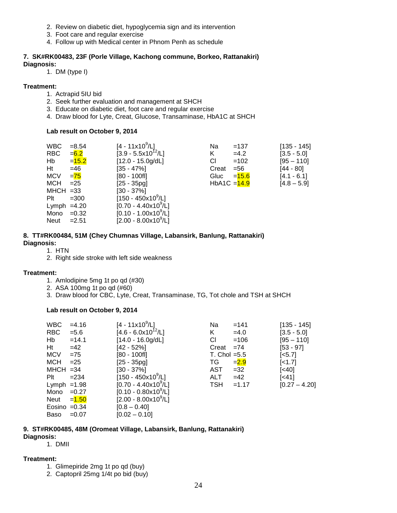- 2. Review on diabetic diet, hypoglycemia sign and its intervention
- 3. Foot care and regular exercise
- 4. Follow up with Medical center in Phnom Penh as schedule

### **7. SK#RK00483, 23F (Porle Village, Kachong commune, Borkeo, Rattanakiri)**

#### **Diagnosis:**

1. DM (type I)

#### **Treatment:**

- 1. Actrapid 5IU bid
- 2. Seek further evaluation and management at SHCH
- 3. Educate on diabetic diet, foot care and regular exercise
- 4. Draw blood for Lyte, Creat, Glucose, Transaminase, HbA1C at SHCH

#### **Lab result on October 9, 2014**

| <b>WBC</b>    | $= 8.54$ | $[4 - 11 \times 10^9/\text{L}]$    | Na             | $=137$   | $[135 - 145]$ |
|---------------|----------|------------------------------------|----------------|----------|---------------|
| <b>RBC</b>    | $= 6.2$  | $[3.9 - 5.5x10^{12}/L]$            | Κ              | $=4.2$   | $[3.5 - 5.0]$ |
| Hb            | $= 15.2$ | $[12.0 - 15.0g/dL]$                | CI             | $=102$   | $[95 - 110]$  |
| Ht            | $=46$    | $[35 - 47\%]$                      | Creat          | $= 56$   | [44 - 80]     |
| <b>MCV</b>    | $= 75$   | $[80 - 100$ fl]                    | Gluc           | $= 15.6$ | $[4.1 - 6.1]$ |
| MCH           | $=25$    | $[25 - 35pg]$                      | $HbA1C = 14.9$ |          | $[4.8 - 5.9]$ |
| $MHCH = 33$   |          | $[30 - 37\%]$                      |                |          |               |
| Plt           | $=300$   | $[150 - 450 \times 10^9/\text{L}]$ |                |          |               |
| Lymph $=4.20$ |          | $[0.70 - 4.40 \times 10^{9}$ /L]   |                |          |               |
| Mono          | $=0.32$  | $[0.10 - 1.00 \times 10^9 / L]$    |                |          |               |
| Neut          | $=2.51$  | $[2.00 - 8.00 \times 10^{9}$ /L]   |                |          |               |

#### **8. TT#RK00484, 51M (Chey Chumnas Village, Labansirk, Banlung, Rattanakiri) Diagnosis:**

- 1. HTN
- 2. Right side stroke with left side weakness

#### **Treatment:**

- 1. Amlodipine 5mg 1t po qd (#30)
- 2. ASA 100mg 1t po qd (#60)
- 3. Draw blood for CBC, Lyte, Creat, Transaminase, TG, Tot chole and TSH at SHCH

#### **Lab result on October 9, 2014**

| <b>WBC</b>     | $=4.16$  | $[4 - 11x10^9/L]$                    | Na             | $=141$  | $[135 - 145]$         |
|----------------|----------|--------------------------------------|----------------|---------|-----------------------|
| <b>RBC</b>     | $= 5.6$  | $[4.6 - 6.0x10^{12}/L]$              | K              | $=4.0$  | $[3.5 - 5.0]$         |
| Hb             | $=14.1$  | $[14.0 - 16.0g/dL]$                  | CI.            | $=106$  | $[95 - 110]$          |
| Ht             | $=42$    | [42 - 52%]                           | Creat          | $= 74$  | $[53 - 97]$           |
| <b>MCV</b>     | $= 75$   | [80 - 100fl]                         | T. Chol $=5.5$ |         | $\left[ <5.7 \right]$ |
| MCH            | $=25$    | $[25 - 35pg]$                        | TG.            | $= 2.9$ | $\left[$ < 1.7]       |
| $MHCH = 34$    |          | $[30 - 37\%]$                        | AST            | $=32$   | $\left[40\right]$     |
| Plt            | $= 234$  | $[150 - 450 \times 10^9/\text{L}]$   | <b>ALT</b>     | $=42$   | $[<41]$               |
| Lymph $=1.98$  |          | $[0.70 - 4.40 \times 10^{9} / L]$    | <b>TSH</b>     | $=1.17$ | $[0.27 - 4.20]$       |
| Mono           | $=0.27$  | $[0.10 - 0.80 \times 10^9/\text{L}]$ |                |         |                       |
| Neut           | $= 1.50$ | $[2.00 - 8.00 \times 10^{9} / L]$    |                |         |                       |
| Eosino $=0.34$ |          | $[0.8 - 0.40]$                       |                |         |                       |
| Baso           | $=0.07$  | $[0.02 - 0.10]$                      |                |         |                       |

### **9. ST#RK00485, 48M (Oromeat Village, Labansirk, Banlung, Rattanakiri)**

- **Diagnosis:**
	- 1. DMII

#### **Treatment:**

- 1. Glimepiride 2mg 1t po qd (buy)
- 2. Captopril 25mg 1/4t po bid (buy)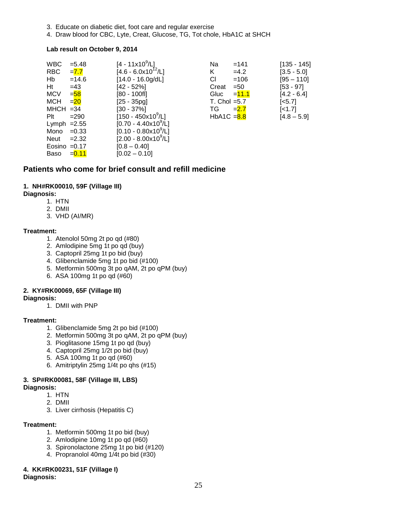- 3. Educate on diabetic diet, foot care and regular exercise
- 4. Draw blood for CBC, Lyte, Creat, Glucose, TG, Tot chole, HbA1C at SHCH

#### **Lab result on October 9, 2014**

| <b>WBC</b>     | $= 5.48$ | $[4 - 11 \times 10^9 / L]$           | Na             | $=141$   | $[135 - 145]$ |
|----------------|----------|--------------------------------------|----------------|----------|---------------|
| RBC            | $= 7.7$  | $[4.6 - 6.0x10^{12}/L]$              | K              | $=4.2$   | $[3.5 - 5.0]$ |
| Hb             | $=14.6$  | $[14.0 - 16.0g/dL]$                  | СI             | $=106$   | $[95 - 110]$  |
| Ht             | $=43$    | [42 - 52%]                           | Creat          | $=50$    | $[53 - 97]$   |
| MCV            | $=$ 58   | [80 - 100fl]                         | Gluc           | $= 11.1$ | $[4.2 - 6.4]$ |
| МСН            | $= 20$   | $[25 - 35pg]$                        | T. Chol $=5.7$ |          | $[<5.7]$      |
| $MHCH = 34$    |          | $[30 - 37\%]$                        | TG             | $= 2.7$  | $[-1.7]$      |
| Plt            | $= 290$  | $[150 - 450 \times 10^9/\text{L}]$   | $HbA1C = 8.8$  |          | $[4.8 - 5.9]$ |
| Lymph $=2.55$  |          | $[0.70 - 4.40 \times 10^9/\text{L}]$ |                |          |               |
| Mono           | $=0.33$  | $[0.10 - 0.80 \times 10^9/\text{L}]$ |                |          |               |
| Neut           | $=2.32$  | $[2.00 - 8.00x10^9/L]$               |                |          |               |
| Eosino $=0.17$ |          | $[0.8 - 0.40]$                       |                |          |               |
| Baso           | $= 0.11$ | $[0.02 - 0.10]$                      |                |          |               |

### **Patients who come for brief consult and refill medicine**

#### **1. NH#RK00010, 59F (Village III)**

#### **Diagnosis:**

- 1. HTN
- 2. DMII
- 3. VHD (AI/MR)

#### **Treatment:**

- 1. Atenolol 50mg 2t po qd (#80)
- 2. Amlodipine 5mg 1t po qd (buy)
- 3. Captopril 25mg 1t po bid (buy)
- 4. Glibenclamide 5mg 1t po bid (#100)
- 5. Metformin 500mg 3t po qAM, 2t po qPM (buy)
- 6. ASA 100mg 1t po qd (#60)

#### **2. KY#RK00069, 65F (Village III)**

#### **Diagnosis:**

1. DMII with PNP

#### **Treatment:**

- 1. Glibenclamide 5mg 2t po bid (#100)
- 2. Metformin 500mg 3t po qAM, 2t po qPM (buy)
- 3. Pioglitasone 15mg 1t po qd (buy)
- 4. Captopril 25mg 1/2t po bid (buy)
- 5. ASA 100mg 1t po qd (#60)
- 6. Amitriptylin 25mg 1/4t po qhs (#15)

### **3. SP#RK00081, 58F (Village III, LBS)**

#### **Diagnosis:**

- 1. HTN
- 2. DMII
- 3. Liver cirrhosis (Hepatitis C)

#### **Treatment:**

- 1. Metformin 500mg 1t po bid (buy)
- 2. Amlodipine 10mg 1t po qd (#60)
- 3. Spironolactone 25mg 1t po bid (#120)
- 4. Propranolol 40mg 1/4t po bid (#30)

#### **4. KK#RK00231, 51F (Village I)**

**Diagnosis:**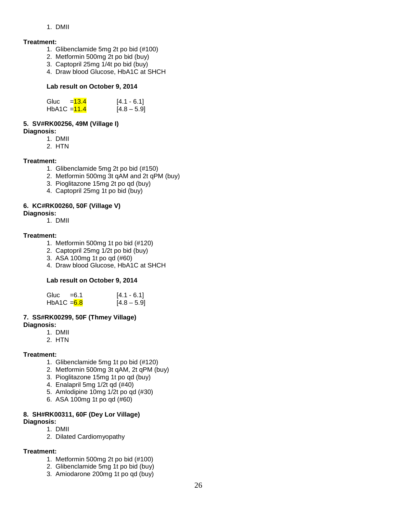#### 1. DMII

#### **Treatment:**

- 1. Glibenclamide 5mg 2t po bid (#100)
- 2. Metformin 500mg 2t po bid (buy)
- 3. Captopril 25mg 1/4t po bid (buy)
- 4. Draw blood Glucose, HbA1C at SHCH

#### **Lab result on October 9, 2014**

| Gluc           | $=13.4$ | $[4.1 - 6.1]$ |
|----------------|---------|---------------|
| HbA1C $=$ 11.4 |         | $[4.8 - 5.9]$ |

### **5. SV#RK00256, 49M (Village I)**

#### **Diagnosis:**

- 1. DMII
- 2. HTN

#### **Treatment:**

- 1. Glibenclamide 5mg 2t po bid (#150)
- 2. Metformin 500mg 3t qAM and 2t qPM (buy)
- 3. Pioglitazone 15mg 2t po qd (buy)
- 4. Captopril 25mg 1t po bid (buy)

#### **6. KC#RK00260, 50F (Village V)**

- **Diagnosis:** 
	- 1. DMII

#### **Treatment:**

- 1. Metformin 500mg 1t po bid (#120)
- 2. Captopril 25mg 1/2t po bid (buy)
- 3. ASA 100mg 1t po qd (#60)
- 4. Draw blood Glucose, HbA1C at SHCH

#### **Lab result on October 9, 2014**

| Gluc $=6.1$  | $[4.1 - 6.1]$ |
|--------------|---------------|
| HbA1C $=6.8$ | $[4.8 - 5.9]$ |

#### **7. SS#RK00299, 50F (Thmey Village) Diagnosis:**

- 1. DMII
- 2. HTN
- 

#### **Treatment:**

- 1. Glibenclamide 5mg 1t po bid (#120)
- 2. Metformin 500mg 3t qAM, 2t qPM (buy)
- 3. Pioglitazone 15mg 1t po qd (buy)
- 4. Enalapril 5mg 1/2t qd (#40)
- 5. Amlodipine 10mg 1/2t po qd (#30)
- 6. ASA 100mg 1t po qd (#60)

#### **8. SH#RK00311, 60F (Dey Lor Village) Diagnosis:**

- 1. DMII
- 2. Dilated Cardiomyopathy

#### **Treatment:**

- 1. Metformin 500mg 2t po bid (#100)
- 2. Glibenclamide 5mg 1t po bid (buy)
- 3. Amiodarone 200mg 1t po qd (buy)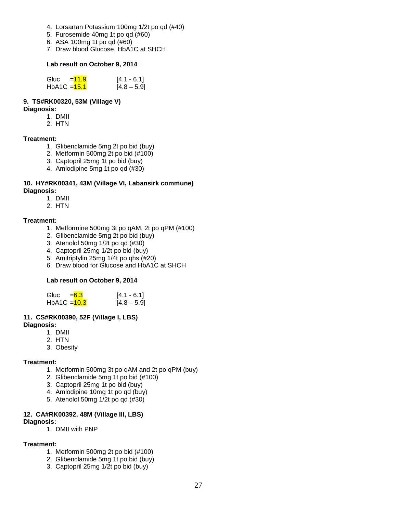- 4. Lorsartan Potassium 100mg 1/2t po qd (#40)
- 5. Furosemide 40mg 1t po qd (#60)
- 6. ASA 100mg 1t po qd (#60)
- 7. Draw blood Glucose, HbA1C at SHCH

#### **Lab result on October 9, 2014**

| Gluc         | $=11.9$ | $[4.1 - 6.1]$ |
|--------------|---------|---------------|
| HbA1C = 15.1 |         | $[4.8 - 5.9]$ |

#### **9. TS#RK00320, 53M (Village V)**

#### **Diagnosis:**

- 1. DMII
- 2. HTN

### **Treatment:**

- 1. Glibenclamide 5mg 2t po bid (buy)
- 2. Metformin 500mg 2t po bid (#100)
- 3. Captopril 25mg 1t po bid (buy)
- 4. Amlodipine 5mg 1t po qd (#30)

#### **10. HY#RK00341, 43M (Village VI, Labansirk commune) Diagnosis:**

- 1. DMII
- 2. HTN

#### **Treatment:**

- 1. Metformine 500mg 3t po qAM, 2t po qPM (#100)
- 2. Glibenclamide 5mg 2t po bid (buy)
- 3. Atenolol 50mg 1/2t po qd (#30)
- 4. Captopril 25mg 1/2t po bid (buy)
- 5. Amitriptylin 25mg 1/4t po qhs (#20)
- 6. Draw blood for Glucose and HbA1C at SHCH

#### **Lab result on October 9, 2014**

| Gluc                    | $= 6.3$ | $[4.1 - 6.1]$ |
|-------------------------|---------|---------------|
| HbA1C = <del>10.3</del> |         | $[4.8 - 5.9]$ |

#### **11. CS#RK00390, 52F (Village I, LBS) Diagnosis:**

- 1. DMII
- 2. HTN
- 3. Obesity

#### **Treatment:**

- 1. Metformin 500mg 3t po qAM and 2t po qPM (buy)
- 2. Glibenclamide 5mg 1t po bid (#100)
- 3. Captopril 25mg 1t po bid (buy)
- 4. Amlodipine 10mg 1t po qd (buy)
- 5. Atenolol 50mg 1/2t po qd (#30)

#### **12. CA#RK00392, 48M (Village III, LBS) Diagnosis:**

1. DMII with PNP

#### **Treatment:**

- 1. Metformin 500mg 2t po bid (#100)
- 2. Glibenclamide 5mg 1t po bid (buy)
- 3. Captopril 25mg 1/2t po bid (buy)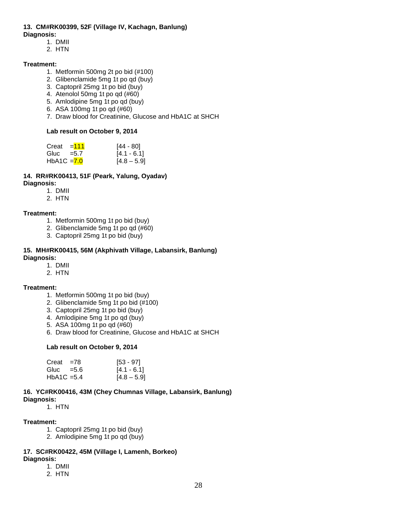# **13. CM#RK00399, 52F (Village IV, Kachagn, Banlung)**

- **Diagnosis:**
	- 1. DMII
	- 2. HTN

### **Treatment:**

- 1. Metformin 500mg 2t po bid (#100)
- 2. Glibenclamide 5mg 1t po qd (buy)
- 3. Captopril 25mg 1t po bid (buy)
- 4. Atenolol 50mg 1t po qd (#60)
- 5. Amlodipine 5mg 1t po qd (buy)
- 6. ASA 100mg 1t po qd (#60)
- 7. Draw blood for Creatinine, Glucose and HbA1C at SHCH

#### **Lab result on October 9, 2014**

| Creat         | $=111$ | [44 - 80]     |
|---------------|--------|---------------|
| Gluc = $5.7$  |        | $[4.1 - 6.1]$ |
| HbA1C $= 7.0$ |        | $[4.8 - 5.9]$ |

#### **14. RR#RK00413, 51F (Peark, Yalung, Oyadav) Diagnosis:**

- 1. DMII
- 2. HTN

### **Treatment:**

- 1. Metformin 500mg 1t po bid (buy)
- 2. Glibenclamide 5mg 1t po qd (#60)
- 3. Captopril 25mg 1t po bid (buy)

#### **15. MH#RK00415, 56M (Akphivath Village, Labansirk, Banlung) Diagnosis:**

#### 1. DMII

2. HTN

#### **Treatment:**

- 1. Metformin 500mg 1t po bid (buy)
- 2. Glibenclamide 5mg 1t po bid (#100)
- 3. Captopril 25mg 1t po bid (buy)
- 4. Amlodipine 5mg 1t po qd (buy)
- 5. ASA 100mg 1t po qd (#60)
- 6. Draw blood for Creatinine, Glucose and HbA1C at SHCH

#### **Lab result on October 9, 2014**

| $Create = 78$              | $[53 - 97]$   |
|----------------------------|---------------|
| Gluc $=5.6$                | $[4.1 - 6.1]$ |
| HbA <sub>1</sub> C = $5.4$ | $[4.8 - 5.9]$ |

#### **16. YC#RK00416, 43M (Chey Chumnas Village, Labansirk, Banlung) Diagnosis:**

1. HTN

#### **Treatment:**

- 1. Captopril 25mg 1t po bid (buy)
- 2. Amlodipine 5mg 1t po qd (buy)

### **17. SC#RK00422, 45M (Village I, Lamenh, Borkeo)**

- **Diagnosis:**
	- 1. DMII
	- 2. HTN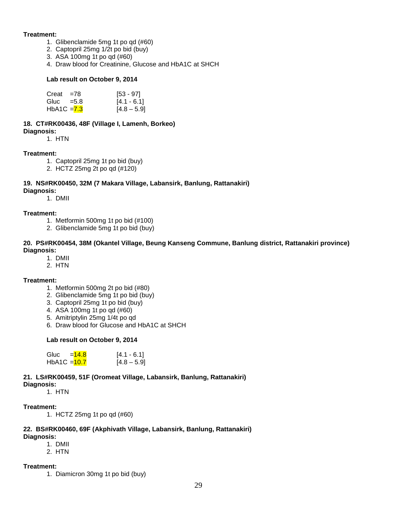#### **Treatment:**

- 1. Glibenclamide 5mg 1t po qd (#60)
	- 2. Captopril 25mg 1/2t po bid (buy)
	- 3. ASA 100mg 1t po qd (#60)
	- 4. Draw blood for Creatinine, Glucose and HbA1C at SHCH

#### **Lab result on October 9, 2014**

| $Creat = 78$  | $[53 - 97]$   |
|---------------|---------------|
| Gluc $=5.8$   | $[4.1 - 6.1]$ |
| HbA1C $= 7.3$ | $[4.8 - 5.9]$ |

#### **18. CT#RK00436, 48F (Village I, Lamenh, Borkeo) Diagnosis:**

1. HTN

#### **Treatment:**

- 1. Captopril 25mg 1t po bid (buy)
- 2. HCTZ 25mg 2t po qd (#120)

#### **19. NS#RK00450, 32M (7 Makara Village, Labansirk, Banlung, Rattanakiri)**

**Diagnosis:**

1. DMII

#### **Treatment:**

- 1. Metformin 500mg 1t po bid (#100)
- 2. Glibenclamide 5mg 1t po bid (buy)

#### **20. PS#RK00454, 38M (Okantel Village, Beung Kanseng Commune, Banlung district, Rattanakiri province) Diagnosis:**

- 1. DMII
- 2. HTN

#### **Treatment:**

- 1. Metformin 500mg 2t po bid (#80)
- 2. Glibenclamide 5mg 1t po bid (buy)
- 3. Captopril 25mg 1t po bid (buy)
- 4. ASA 100mg 1t po qd (#60)
- 5. Amitriptylin 25mg 1/4t po qd
- 6. Draw blood for Glucose and HbA1C at SHCH

#### **Lab result on October 9, 2014**

| Gluc           | $=14.8$ | $[4.1 - 6.1]$ |
|----------------|---------|---------------|
| HbA1C $=$ 10.7 |         | $[4.8 - 5.9]$ |

#### **21. LS#RK00459, 51F (Oromeat Village, Labansirk, Banlung, Rattanakiri)**

**Diagnosis:**

1. HTN

#### **Treatment:**

1. HCTZ 25mg 1t po qd (#60)

### **22. BS#RK00460, 69F (Akphivath Village, Labansirk, Banlung, Rattanakiri)**

- **Diagnosis:**
	- 1. DMII

2. HTN

#### **Treatment:**

1. Diamicron 30mg 1t po bid (buy)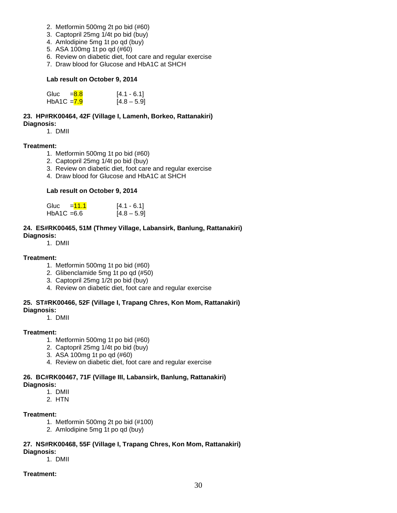- 2. Metformin 500mg 2t po bid (#60)
- 3. Captopril 25mg 1/4t po bid (buy)
- 4. Amlodipine 5mg 1t po qd (buy)
- 5. ASA 100mg 1t po qd (#60)
- 6. Review on diabetic diet, foot care and regular exercise
- 7. Draw blood for Glucose and HbA1C at SHCH

#### **Lab result on October 9, 2014**

| Gluc = <mark>8.8</mark> | $[4.1 - 6.1]$ |
|-------------------------|---------------|
| HbA1C = <del>7.9</del>  | $[4.8 - 5.9]$ |

**23. HP#RK00464, 42F (Village I, Lamenh, Borkeo, Rattanakiri) Diagnosis:**

1. DMII

#### **Treatment:**

- 1. Metformin 500mg 1t po bid (#60)
- 2. Captopril 25mg 1/4t po bid (buy)
- 3. Review on diabetic diet, foot care and regular exercise
- 4. Draw blood for Glucose and HbA1C at SHCH

#### **Lab result on October 9, 2014**

| Gluc          | $=11.1$ | $[4.1 - 6.1]$ |
|---------------|---------|---------------|
| $HbA1C = 6.6$ |         | $[4.8 - 5.9]$ |

#### **24. ES#RK00465, 51M (Thmey Village, Labansirk, Banlung, Rattanakiri)**

**Diagnosis:**

1. DMII

#### **Treatment:**

- 1. Metformin 500mg 1t po bid (#60)
- 2. Glibenclamide 5mg 1t po qd (#50)
- 3. Captopril 25mg 1/2t po bid (buy)
- 4. Review on diabetic diet, foot care and regular exercise

#### **25. ST#RK00466, 52F (Village I, Trapang Chres, Kon Mom, Rattanakiri)**

**Diagnosis:**

1. DMII

#### **Treatment:**

- 1. Metformin 500mg 1t po bid (#60)
- 2. Captopril 25mg 1/4t po bid (buy)
- 3. ASA 100mg 1t po qd (#60)
- 4. Review on diabetic diet, foot care and regular exercise

#### **26. BC#RK00467, 71F (Village III, Labansirk, Banlung, Rattanakiri) Diagnosis:**

- 1. DMII
- 2. HTN

#### **Treatment:**

- 1. Metformin 500mg 2t po bid (#100)
- 2. Amlodipine 5mg 1t po qd (buy)

#### **27. NS#RK00468, 55F (Village I, Trapang Chres, Kon Mom, Rattanakiri) Diagnosis:**

1. DMII

#### **Treatment:**